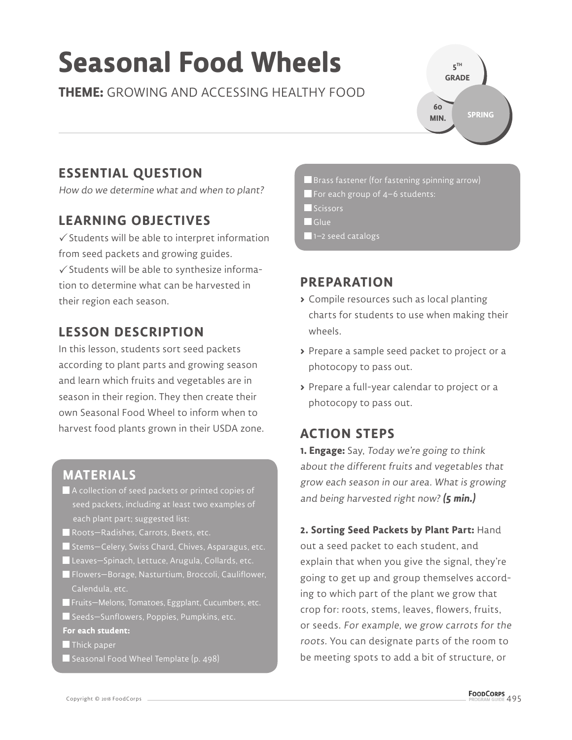# **Seasonal Food Wheels**

**THEME:** GROWING AND ACCESSING HEALTHY FOOD

**5 TH GRADE SPRING 60 MIN.**

## **ESSENTIAL QUESTION**

How do we determine what and when to plant?

## **LEARNING OBJECTIVES**

 $\checkmark$  Students will be able to interpret information from seed packets and growing guides.  $\checkmark$  Students will be able to synthesize information to determine what can be harvested in their region each season.

## **LESSON DESCRIPTION**

In this lesson, students sort seed packets according to plant parts and growing season and learn which fruits and vegetables are in season in their region. They then create their own Seasonal Food Wheel to inform when to harvest food plants grown in their USDA zone.

## **MATERIALS**

- A collection of seed packets or printed copies of seed packets, including at least two examples of each plant part; suggested list:
- Roots-Radishes, Carrots, Beets, etc.
- Stems–Celery, Swiss Chard, Chives, Asparagus, etc.
- Leaves–Spinach, Lettuce, Arugula, Collards, etc.
- Flowers—Borage, Nasturtium, Broccoli, Cauliflower, Calendula, etc.
- Fruits—Melons, Tomatoes, Eggplant, Cucumbers, etc.
- Seeds—Sunflowers, Poppies, Pumpkins, etc.
- **For each student:**
- **Thick paper**
- $\blacksquare$  Seasonal Food Wheel Template (p. 498)
- $\blacksquare$  Brass fastener (for fastening spinning arrow)
- $\blacksquare$  For each group of 4–6 students:
- Scissors
- Glue
- $\blacksquare$  1–2 seed catalogs

## **PREPARATION**

- **>** Compile resources such as local planting charts for students to use when making their wheels.
- **>** Prepare a sample seed packet to project or a photocopy to pass out.
- **>** Prepare a full-year calendar to project or a photocopy to pass out.

## **ACTION STEPS**

**1. Engage:** Say, Today we're going to think about the different fruits and vegetables that grow each season in our area. What is growing and being harvested right now? **(5 min.)**

#### **2. Sorting Seed Packets by Plant Part:** Hand

out a seed packet to each student, and explain that when you give the signal, they're going to get up and group themselves according to which part of the plant we grow that crop for: roots, stems, leaves, flowers, fruits, or seeds. For example, we grow carrots for the roots. You can designate parts of the room to be meeting spots to add a bit of structure, or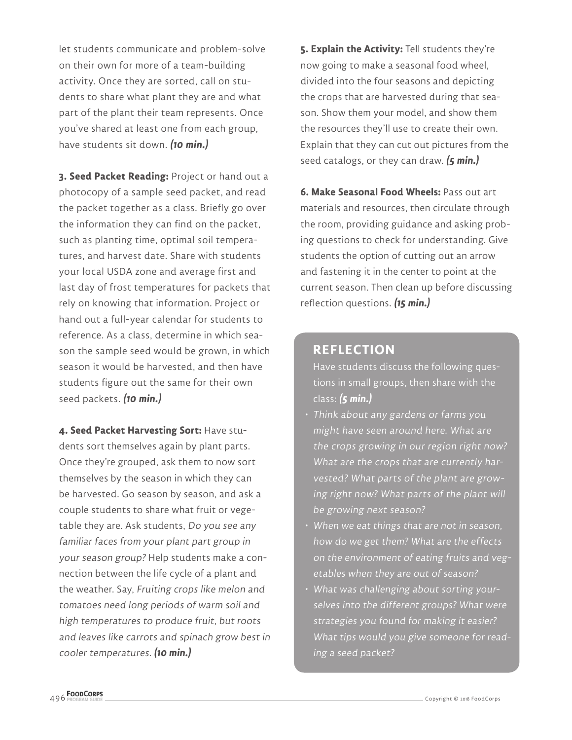let students communicate and problem-solve on their own for more of a team-building activity. Once they are sorted, call on students to share what plant they are and what part of the plant their team represents. Once you've shared at least one from each group, have students sit down. **(10 min.)**

**3. Seed Packet Reading:** Project or hand out a photocopy of a sample seed packet, and read the packet together as a class. Briefly go over the information they can find on the packet, such as planting time, optimal soil temperatures, and harvest date. Share with students your local USDA zone and average first and last day of frost temperatures for packets that rely on knowing that information. Project or hand out a full-year calendar for students to reference. As a class, determine in which season the sample seed would be grown, in which season it would be harvested, and then have students figure out the same for their own seed packets. **(10 min.)**

**4. Seed Packet Harvesting Sort:** Have students sort themselves again by plant parts. Once they're grouped, ask them to now sort themselves by the season in which they can be harvested. Go season by season, and ask a couple students to share what fruit or vegetable they are. Ask students, Do you see any familiar faces from your plant part group in your season group? Help students make a connection between the life cycle of a plant and the weather. Say, Fruiting crops like melon and tomatoes need long periods of warm soil and high temperatures to produce fruit, but roots and leaves like carrots and spinach grow best in cooler temperatures. **(10 min.)**

**5. Explain the Activity:** Tell students they're now going to make a seasonal food wheel, divided into the four seasons and depicting the crops that are harvested during that season. Show them your model, and show them the resources they'll use to create their own. Explain that they can cut out pictures from the seed catalogs, or they can draw. **(5 min.)**

**6. Make Seasonal Food Wheels:** Pass out art materials and resources, then circulate through the room, providing guidance and asking probing questions to check for understanding. Give students the option of cutting out an arrow and fastening it in the center to point at the current season. Then clean up before discussing reflection questions. **(15 min.)**

#### **REFLECTION**

Have students discuss the following questions in small groups, then share with the class: **(5 min.)**

- Think about any gardens or farms you might have seen around here. What are the crops growing in our region right now? What are the crops that are currently harvested? What parts of the plant are growing right now? What parts of the plant will be growing next season?
- When we eat things that are not in season, how do we get them? What are the effects on the environment of eating fruits and vegetables when they are out of season?
- What was challenging about sorting yourselves into the different groups? What were strategies you found for making it easier? What tips would you give someone for reading a seed packet?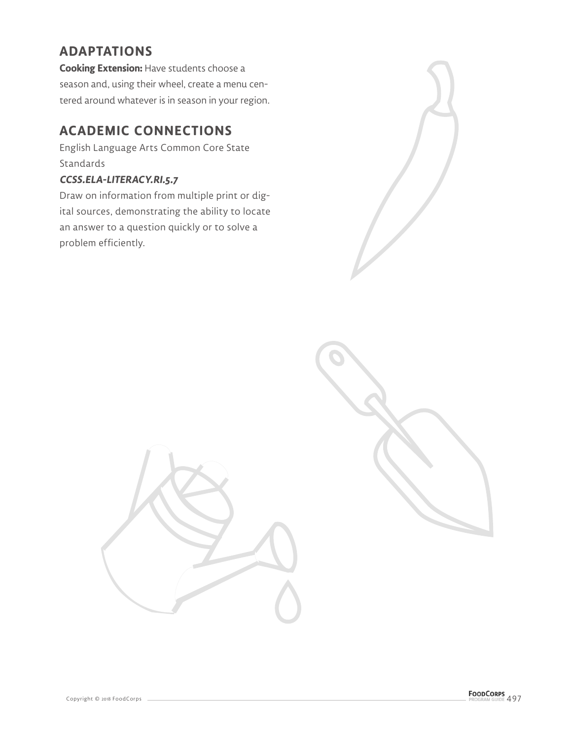## **ADAPTATIONS**

**Cooking Extension:** Have students choose a season and, using their wheel, create a menu centered around whatever is in season in your region.

## **ACADEMIC CONNECTIONS**

English Language Arts Common Core State Standards

#### **CCSS.ELA-LITERACY.RI.5.7**

Draw on information from multiple print or digital sources, demonstrating the ability to locate an answer to a question quickly or to solve a problem efficiently.